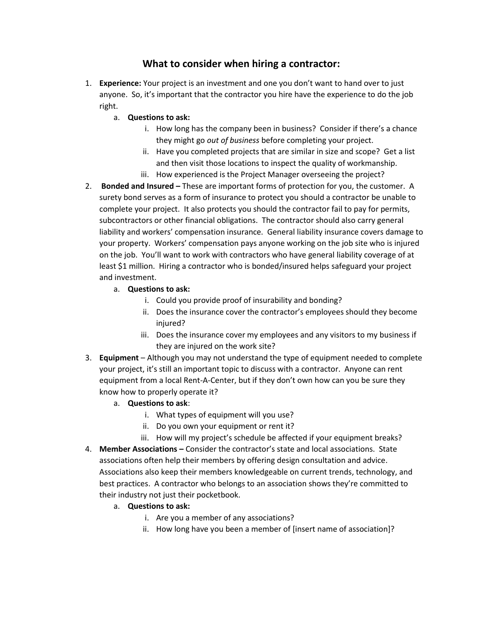## **What to consider when hiring a contractor:**

- 1. **Experience:** Your project is an investment and one you don't want to hand over to just anyone. So, it's important that the contractor you hire have the experience to do the job right.
	- a. **Questions to ask:**
		- i. How long has the company been in business? Consider if there's a chance they might go *out of business* before completing your project.
		- ii. Have you completed projects that are similar in size and scope? Get a list and then visit those locations to inspect the quality of workmanship.
		- iii. How experienced is the Project Manager overseeing the project?
- 2. **Bonded and Insured –** These are important forms of protection for you, the customer. A surety bond serves as a form of insurance to protect you should a contractor be unable to complete your project. It also protects you should the contractor fail to pay for permits, subcontractors or other financial obligations. The contractor should also carry general liability and workers' compensation insurance. General liability insurance covers damage to your property. Workers' compensation pays anyone working on the job site who is injured on the job. You'll want to work with contractors who have general liability coverage of at least \$1 million. Hiring a contractor who is bonded/insured helps safeguard your project and investment.
	- a. **Questions to ask:**
		- i. Could you provide proof of insurability and bonding?
		- ii. Does the insurance cover the contractor's employees should they become injured?
		- iii. Does the insurance cover my employees and any visitors to my business if they are injured on the work site?
- 3. **Equipment** Although you may not understand the type of equipment needed to complete your project, it's still an important topic to discuss with a contractor. Anyone can rent equipment from a local Rent-A-Center, but if they don't own how can you be sure they know how to properly operate it?
	- a. **Questions to ask**:
		- i. What types of equipment will you use?
		- ii. Do you own your equipment or rent it?
		- iii. How will my project's schedule be affected if your equipment breaks?
- 4. **Member Associations –** Consider the contractor's state and local associations. State associations often help their members by offering design consultation and advice. Associations also keep their members knowledgeable on current trends, technology, and best practices. A contractor who belongs to an association shows they're committed to their industry not just their pocketbook.
	- a. **Questions to ask:**
		- i. Are you a member of any associations?
		- ii. How long have you been a member of [insert name of association]?